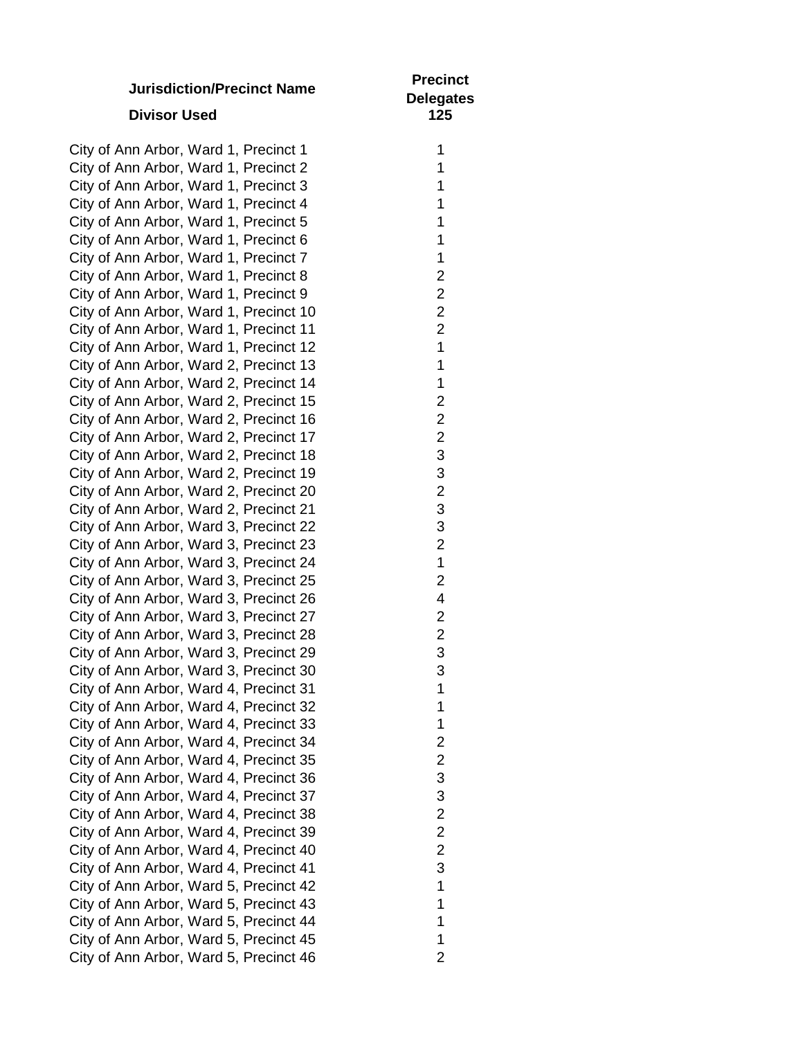| <b>Jurisdiction/Precinct Name</b><br><b>Divisor Used</b>                                                                   | <b>Precinct</b><br><b>Delegates</b><br>125 |
|----------------------------------------------------------------------------------------------------------------------------|--------------------------------------------|
| City of Ann Arbor, Ward 1, Precinct 1                                                                                      |                                            |
| $Q_{\text{in}}$ of $\Lambda_{\text{max}}$ , $\Lambda_{\text{max}}$ , $M_{\text{max}}$ , $A$ , $D_{\text{max}}$ , $A$ , $Q$ |                                            |

City of Ann Arbor, Ward 1, Precinct 2 City of Ann Arbor, Ward 1, Precinct 3 City of Ann Arbor, Ward 1, Precinct 4 City of Ann Arbor, Ward 1, Precinct 5 1 City of Ann Arbor, Ward 1, Precinct 6 City of Ann Arbor, Ward 1, Precinct 7 City of Ann Arbor, Ward 1, Precinct 8 City of Ann Arbor, Ward 1, Precinct 9 City of Ann Arbor, Ward 1, Precinct 10 2 City of Ann Arbor, Ward 1, Precinct 11 2 City of Ann Arbor, Ward 1, Precinct 12 City of Ann Arbor, Ward 2, Precinct 13 City of Ann Arbor, Ward 2, Precinct 14 City of Ann Arbor, Ward 2, Precinct 15 City of Ann Arbor, Ward 2, Precinct 16 City of Ann Arbor, Ward 2, Precinct 17 City of Ann Arbor, Ward 2, Precinct 18 City of Ann Arbor, Ward 2, Precinct 19 City of Ann Arbor, Ward 2, Precinct 20 City of Ann Arbor, Ward 2, Precinct 21 City of Ann Arbor, Ward 3, Precinct 22 City of Ann Arbor, Ward 3, Precinct 23 City of Ann Arbor, Ward 3, Precinct 24 1 City of Ann Arbor, Ward 3, Precinct 25 City of Ann Arbor, Ward 3, Precinct 26 City of Ann Arbor, Ward 3, Precinct 27 City of Ann Arbor, Ward 3, Precinct 28 City of Ann Arbor, Ward 3, Precinct 29 City of Ann Arbor, Ward 3, Precinct 30 City of Ann Arbor, Ward 4, Precinct 31 City of Ann Arbor, Ward 4, Precinct 32 City of Ann Arbor, Ward 4, Precinct 33 1 City of Ann Arbor, Ward 4, Precinct 34 City of Ann Arbor, Ward 4, Precinct 35 City of Ann Arbor, Ward 4, Precinct 36 City of Ann Arbor, Ward 4, Precinct 37 City of Ann Arbor, Ward 4, Precinct 38 City of Ann Arbor, Ward 4, Precinct 39 City of Ann Arbor, Ward 4, Precinct 40 City of Ann Arbor, Ward 4, Precinct 41 City of Ann Arbor, Ward 5, Precinct 42 City of Ann Arbor, Ward 5, Precinct 43 1 City of Ann Arbor, Ward 5, Precinct 44 City of Ann Arbor, Ward 5, Precinct 45 1 City of Ann Arbor, Ward 5, Precinct 46

| ٠              |
|----------------|
|                |
| 1              |
| 1              |
|                |
| 1              |
| 1              |
|                |
| 1              |
| 1              |
| 1              |
|                |
| $\frac{2}{2}$  |
|                |
|                |
|                |
|                |
| 2<br>1         |
|                |
| 1              |
| 1              |
|                |
| $\overline{c}$ |
| $\overline{2}$ |
| $\frac{1}{2}$  |
|                |
| 3              |
|                |
| 3              |
| $\overline{c}$ |
| 3              |
|                |
| 3              |
| $\overline{c}$ |
|                |
| 1              |
| $\overline{c}$ |
| 4              |
|                |
| $\overline{c}$ |
| $\overline{2}$ |
|                |
| 3              |
| 3              |
| 1              |
|                |
| $\mathbf 1$    |
| 1              |
| $\mathbf{c}$   |
|                |
|                |
| ₹              |
|                |
| ŀ              |
|                |
|                |
| 2              |
| $\overline{c}$ |
| 3              |
|                |
| 1              |
| 1              |
|                |
| 1              |
| 1              |
| 2              |
|                |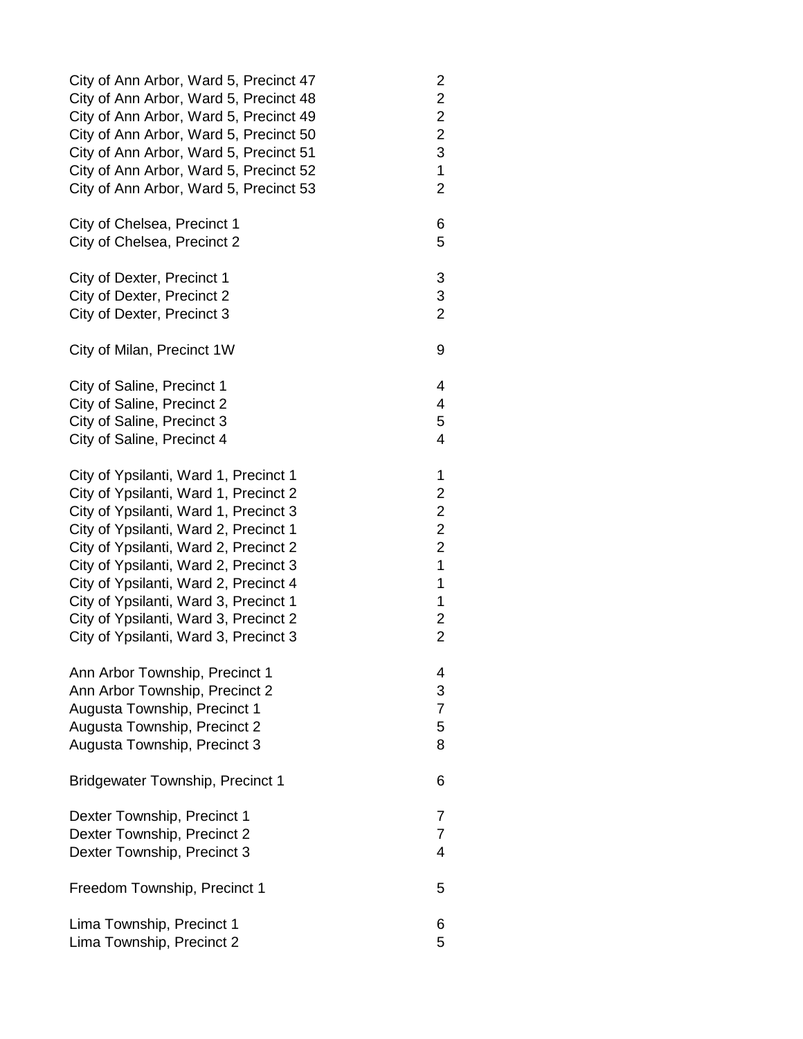| City of Ann Arbor, Ward 5, Precinct 47  | 2                       |
|-----------------------------------------|-------------------------|
| City of Ann Arbor, Ward 5, Precinct 48  | $\overline{\mathbf{c}}$ |
| City of Ann Arbor, Ward 5, Precinct 49  | $\overline{\mathbf{c}}$ |
| City of Ann Arbor, Ward 5, Precinct 50  | $\overline{c}$          |
| City of Ann Arbor, Ward 5, Precinct 51  | 3                       |
| City of Ann Arbor, Ward 5, Precinct 52  | 1                       |
| City of Ann Arbor, Ward 5, Precinct 53  | $\overline{2}$          |
| City of Chelsea, Precinct 1             | 6                       |
| City of Chelsea, Precinct 2             | 5                       |
| City of Dexter, Precinct 1              | 3                       |
| City of Dexter, Precinct 2              | 3                       |
| City of Dexter, Precinct 3              | $\overline{2}$          |
| City of Milan, Precinct 1W              | 9                       |
| City of Saline, Precinct 1              | 4                       |
| City of Saline, Precinct 2              | 4                       |
| City of Saline, Precinct 3              | 5                       |
| City of Saline, Precinct 4              | 4                       |
| City of Ypsilanti, Ward 1, Precinct 1   | 1                       |
| City of Ypsilanti, Ward 1, Precinct 2   | $\overline{\mathbf{c}}$ |
| City of Ypsilanti, Ward 1, Precinct 3   | $\overline{c}$          |
| City of Ypsilanti, Ward 2, Precinct 1   | $\overline{c}$          |
| City of Ypsilanti, Ward 2, Precinct 2   | $\overline{c}$          |
| City of Ypsilanti, Ward 2, Precinct 3   | $\overline{1}$          |
| City of Ypsilanti, Ward 2, Precinct 4   | 1                       |
| City of Ypsilanti, Ward 3, Precinct 1   | 1                       |
| City of Ypsilanti, Ward 3, Precinct 2   | $\overline{c}$          |
| City of Ypsilanti, Ward 3, Precinct 3   | $\overline{2}$          |
| Ann Arbor Township, Precinct 1          | 4                       |
| Ann Arbor Township, Precinct 2          | 3                       |
| Augusta Township, Precinct 1            | $\overline{7}$          |
| Augusta Township, Precinct 2            | 5                       |
| Augusta Township, Precinct 3            | 8                       |
| <b>Bridgewater Township, Precinct 1</b> | 6                       |
| Dexter Township, Precinct 1             | $\overline{7}$          |
| Dexter Township, Precinct 2             | $\overline{7}$          |
| Dexter Township, Precinct 3             | 4                       |
| Freedom Township, Precinct 1            | 5                       |
| Lima Township, Precinct 1               | 6                       |
| Lima Township, Precinct 2               | 5                       |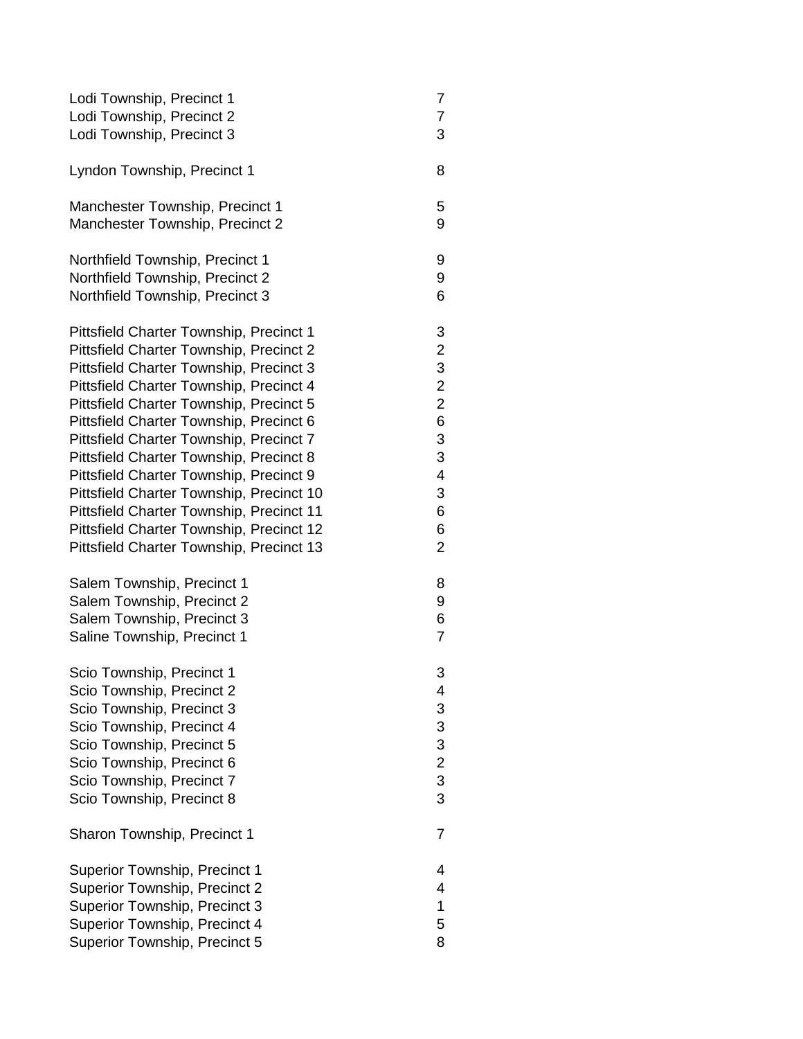| Lodi Township, Precinct 1                                                                                                                                                                                                            | 7                                                                          |
|--------------------------------------------------------------------------------------------------------------------------------------------------------------------------------------------------------------------------------------|----------------------------------------------------------------------------|
| Lodi Township, Precinct 2                                                                                                                                                                                                            | 7                                                                          |
| Lodi Township, Precinct 3                                                                                                                                                                                                            | 3                                                                          |
| Lyndon Township, Precinct 1                                                                                                                                                                                                          | 8                                                                          |
| Manchester Township, Precinct 1                                                                                                                                                                                                      | 5                                                                          |
| Manchester Township, Precinct 2                                                                                                                                                                                                      | 9                                                                          |
| Northfield Township, Precinct 1                                                                                                                                                                                                      | 9                                                                          |
| Northfield Township, Precinct 2                                                                                                                                                                                                      | 9                                                                          |
| Northfield Township, Precinct 3                                                                                                                                                                                                      | 6                                                                          |
| Pittsfield Charter Township, Precinct 1                                                                                                                                                                                              | 3                                                                          |
| Pittsfield Charter Township, Precinct 2                                                                                                                                                                                              | $\overline{\mathbf{c}}$                                                    |
| Pittsfield Charter Township, Precinct 3                                                                                                                                                                                              | 3                                                                          |
| Pittsfield Charter Township, Precinct 4                                                                                                                                                                                              | $\overline{c}$                                                             |
| Pittsfield Charter Township, Precinct 5                                                                                                                                                                                              | $\overline{c}$                                                             |
| Pittsfield Charter Township, Precinct 6                                                                                                                                                                                              | 6                                                                          |
| Pittsfield Charter Township, Precinct 7                                                                                                                                                                                              | 3                                                                          |
| Pittsfield Charter Township, Precinct 8                                                                                                                                                                                              | 3                                                                          |
| Pittsfield Charter Township, Precinct 9                                                                                                                                                                                              | 4                                                                          |
| Pittsfield Charter Township, Precinct 10                                                                                                                                                                                             | 3                                                                          |
| Pittsfield Charter Township, Precinct 11                                                                                                                                                                                             | 6                                                                          |
| Pittsfield Charter Township, Precinct 12                                                                                                                                                                                             | 6                                                                          |
| Pittsfield Charter Township, Precinct 13                                                                                                                                                                                             | 2                                                                          |
| Salem Township, Precinct 1                                                                                                                                                                                                           | 8                                                                          |
| Salem Township, Precinct 2                                                                                                                                                                                                           | 9                                                                          |
| Salem Township, Precinct 3                                                                                                                                                                                                           | 6                                                                          |
| Saline Township, Precinct 1                                                                                                                                                                                                          | $\overline{7}$                                                             |
| Scio Township, Precinct 1<br>Scio Township, Precinct 2<br>Scio Township, Precinct 3<br>Scio Township, Precinct 4<br>Scio Township, Precinct 5<br>Scio Township, Precinct 6<br>Scio Township, Precinct 7<br>Scio Township, Precinct 8 | 3<br>4<br>$\frac{3}{3}$<br>$\begin{array}{c} 3 \\ 2 \\ 3 \\ 3 \end{array}$ |
| Sharon Township, Precinct 1                                                                                                                                                                                                          | $\overline{7}$                                                             |
| <b>Superior Township, Precinct 1</b>                                                                                                                                                                                                 | 4                                                                          |
| Superior Township, Precinct 2                                                                                                                                                                                                        | 4                                                                          |
| Superior Township, Precinct 3                                                                                                                                                                                                        | 1                                                                          |
| Superior Township, Precinct 4                                                                                                                                                                                                        | 5                                                                          |
| Superior Township, Precinct 5                                                                                                                                                                                                        | 8                                                                          |